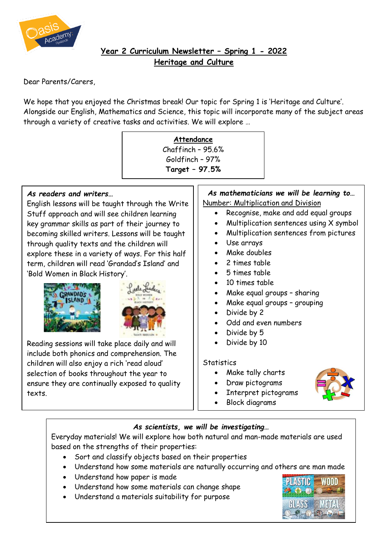

# **Year 2 Curriculum Newsletter – Spring 1 - 2022 Heritage and Culture**

Dear Parents/Carers,

We hope that you enjoyed the Christmas break! Our topic for Spring 1 is 'Heritage and Culture'. Alongside our English, Mathematics and Science, this topic will incorporate many of the subject areas through a variety of creative tasks and activities. We will explore …

# **Attendance** Chaffinch – 95.6% Goldfinch – 97% **Target – 97.5%**

#### *As readers and writers…*

English lessons will be taught through the Write Stuff approach and will see children learning key grammar skills as part of their journey to becoming skilled writers. Lessons will be taught through quality texts and the children will explore these in a variety of ways. For this half term, children will read 'Grandad's Island' and 'Bold Women in Black History'.





Reading sessions will take place daily and will include both phonics and comprehension. The children will also enjoy a rich 'read aloud' selection of books throughout the year to ensure they are continually exposed to quality texts.

## *As mathematicians we will be learning to…* Number: Multiplication and Division

- Recognise, make and add equal groups
- Multiplication sentences using X symbol
- Multiplication sentences from pictures
- Use arrays
- Make doubles
- 2 times table
- 5 times table
- 10 times table
- Make equal groups sharing
- Make equal groups grouping
- Divide by 2
- Odd and even numbers
- Divide by 5
- Divide by 10

#### **Statistics**

- Make tally charts
- Draw pictograms
- Interpret pictograms
- Block diagrams

### *As scientists, we will be investigating…*

Everyday materials! We will explore how both natural and man-made materials are used based on the strengths of their properties:

- Sort and classify objects based on their properties
- Understand how some materials are naturally occurring and others are man made
- Understand how paper is made
- Understand how some materials can change shape
- Understand a materials suitability for purpose